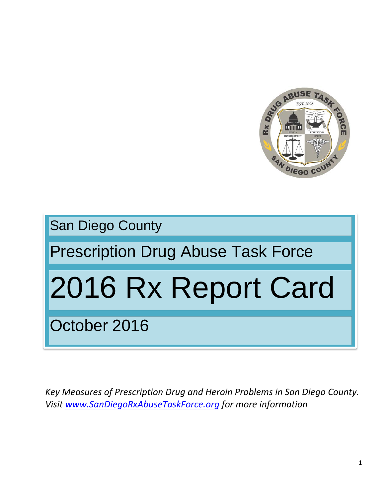

San Diego County

## Prescription Drug Abuse Task Force

# 2016 Rx Report Card

October 2016

*Key Measures of Prescription Drug and Heroin Problems in San Diego County. Visit [www.SanDiegoRxAbuseTaskForce.org](http://www.sandiegorxabusetaskforce.org/) for more information*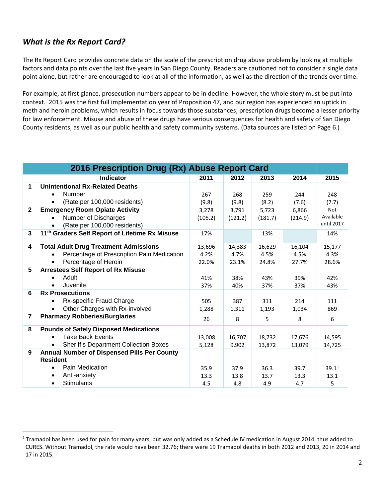### *What is the Rx Report Card?*

The Rx Report Card provides concrete data on the scale of the prescription drug abuse problem by looking at multiple factors and data points over the last five years in San Diego County. Readers are cautioned not to consider a single data point alone, but rather are encouraged to look at all of the information, as well as the direction of the trends over time.

For example, at first glance, prosecution numbers appear to be in decline. However, the whole story must be put into context. 2015 was the first full implementation year of Proposition 47, and our region has experienced an uptick in meth and heroin problems, which results in focus towards those substances; prescription drugs become a lesser priority for law enforcement. Misuse and abuse of these drugs have serious consequences for health and safety of San Diego County residents, as well as our public health and safety community systems. (Data sources are listed on Page 6.)

| 2016 Prescription Drug (Rx) Abuse Report Card |                                                                |         |         |         |         |                   |
|-----------------------------------------------|----------------------------------------------------------------|---------|---------|---------|---------|-------------------|
|                                               | <b>Indicator</b>                                               | 2011    | 2012    | 2013    | 2014    | 2015              |
| 1                                             | <b>Unintentional Rx-Related Deaths</b>                         |         |         |         |         |                   |
|                                               | <b>Number</b>                                                  | 267     | 268     | 259     | 244     | 248               |
|                                               | (Rate per 100,000 residents)                                   | (9.8)   | (9.8)   | (8.2)   | (7.6)   | (7.7)             |
| $\mathbf{2}$                                  | <b>Emergency Room Opiate Activity</b>                          | 3,278   | 3,791   | 5,723   | 6,866   | Not               |
|                                               | Number of Discharges                                           | (105.2) | (121.2) | (181.7) | (214.9) | Available         |
|                                               | (Rate per 100,000 residents)                                   |         |         |         |         | until 2017        |
| $\mathbf{3}$                                  | 11 <sup>th</sup> Graders Self Report of Lifetime Rx Misuse     | 17%     |         | 13%     |         | 14%               |
| 4                                             | <b>Total Adult Drug Treatment Admissions</b>                   | 13,696  | 14,383  | 16,629  | 16,104  | 15,177            |
|                                               | Percentage of Prescription Pain Medication                     | 4.2%    | 4.7%    | 4.5%    | 4.5%    | 4.3%              |
|                                               | Percentage of Heroin                                           | 22.0%   | 23.1%   | 24.8%   | 27.7%   | 28.6%             |
| 5                                             | <b>Arrestees Self Report of Rx Misuse</b>                      |         |         |         |         |                   |
|                                               | Adult                                                          | 41%     | 38%     | 43%     | 39%     | 42%               |
|                                               | Juvenile                                                       | 37%     | 40%     | 37%     | 37%     | 43%               |
| 6                                             | <b>Rx Prosecutions</b>                                         |         |         |         |         |                   |
|                                               | Rx-specific Fraud Charge                                       | 505     | 387     | 311     | 214     | 111               |
|                                               | Other Charges with Rx-involved                                 | 1,288   | 1,311   | 1,193   | 1,034   | 869               |
| 7                                             | <b>Pharmacy Robberies/Burglaries</b>                           | 26      | 8       | 5       | 8       | 6                 |
| 8                                             | <b>Pounds of Safely Disposed Medications</b>                   |         |         |         |         |                   |
|                                               | <b>Take Back Events</b>                                        | 13,008  | 16,707  | 18,732  | 17,676  | 14,595            |
|                                               | <b>Sheriff's Department Collection Boxes</b>                   | 5,128   | 9,902   | 13,872  | 13,079  | 14,725            |
| 9                                             | Annual Number of Dispensed Pills Per County<br><b>Resident</b> |         |         |         |         |                   |
|                                               | Pain Medication                                                | 35.9    | 37.9    | 36.3    | 39.7    | 39.1 <sup>1</sup> |
|                                               | Anti-anxiety                                                   | 13.3    | 13.8    | 13.7    | 13.3    | 13.1              |
|                                               | <b>Stimulants</b>                                              | 4.5     | 4.8     | 4.9     | 4.7     | 5                 |

<span id="page-1-0"></span> $1$  Tramadol has been used for pain for many years, but was only added as a Schedule IV medication in August 2014, thus added to CURES. Without Tramadol, the rate would have been 32.76; there were 19 Tramadol deaths in both 2012 and 2013, 20 in 2014 and 17 in 2015.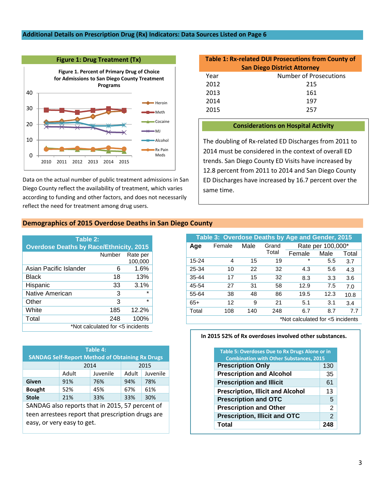#### **Additional Details on Prescription Drug (Rx) Indicators: Data Sources Listed on Page 6**



Data on the actual number of public treatment admissions in San Diego County reflect the availability of treatment, which varies according to funding and other factors, and does not necessarily reflect the need for treatment among drug users.

#### **Table 1: Rx-related DUI Prosecutions from County of San Diego District Attorney**

| Year | Number of Prosecutions |
|------|------------------------|
| 2012 | 215                    |
| 2013 | 161                    |
| 2014 | 197                    |
| 2015 | 257                    |

#### **Considerations on Hospital Activity**

The doubling of Rx-related ED Discharges from 2011 to 2014 must be considered in the context of overall ED trends. San Diego County ED Visits have increased by 12.8 percent from 2011 to 2014 and San Diego County ED Discharges have increased by 16.7 percent over the same time.

#### **Demographics of 2015 Overdose Deaths in San Diego County**

| Table 2:                                       |        |                     |  |  |  |  |  |
|------------------------------------------------|--------|---------------------|--|--|--|--|--|
| <b>Overdose Deaths by Race/Ethnicity, 2015</b> |        |                     |  |  |  |  |  |
|                                                | Number | Rate per<br>100,000 |  |  |  |  |  |
| Asian Pacific Islander                         | 6      | 1.6%                |  |  |  |  |  |
| Black                                          | 18     | 13%                 |  |  |  |  |  |
| Hispanic                                       | 33     | 3.1%                |  |  |  |  |  |
| Native American                                | 3      | ÷                   |  |  |  |  |  |
| Other                                          | 3      | ÷                   |  |  |  |  |  |
| White                                          | 185    | 12.2%               |  |  |  |  |  |
| Total                                          | 248    | 100%                |  |  |  |  |  |
| *Not calculated for <5 incidents               |        |                     |  |  |  |  |  |

| Table 4:<br><b>SANDAG Self-Report Method of Obtaining Rx Drugs</b> |                            |      |          |     |  |  |  |  |
|--------------------------------------------------------------------|----------------------------|------|----------|-----|--|--|--|--|
|                                                                    |                            | 2014 | 2015     |     |  |  |  |  |
|                                                                    | Adult<br>Adult<br>Juvenile |      | Juvenile |     |  |  |  |  |
| Given                                                              | 91%                        | 76%  | 94%      | 78% |  |  |  |  |
| <b>Bought</b><br>52%                                               |                            | 45%  | 67%      | 61% |  |  |  |  |
| <b>Stole</b>                                                       | 21%                        | 33%  | 33%      | 30% |  |  |  |  |
| SANDAG also reports that in 2015, 57 percent of                    |                            |      |          |     |  |  |  |  |
| teen arrestees report that prescription drugs are                  |                            |      |          |     |  |  |  |  |
| easy, or very easy to get.                                         |                            |      |          |     |  |  |  |  |

| Table 3: Overdose Deaths by Age and Gender, 2015 |        |      |                |                   |      |       |  |  |  |
|--------------------------------------------------|--------|------|----------------|-------------------|------|-------|--|--|--|
| Age                                              | Female | Male | Grand<br>Total | Rate per 100,000* |      |       |  |  |  |
|                                                  |        |      |                | Female            | Male | Total |  |  |  |
| 15-24                                            | 4      | 15   | 19             | $\star$           | 5.5  | 3.7   |  |  |  |
| 25-34                                            | 10     | 22   | 32             | 4.3               | 5.6  | 4.3   |  |  |  |
| $35 - 44$                                        | 17     | 15   | 32             | 8.3               | 3.3  | 3.6   |  |  |  |
| 45-54                                            | 27     | 31   | 58             | 12.9              | 7.5  | 7.0   |  |  |  |
| 55-64                                            | 38     | 48   | 86             | 19.5              | 12.3 | 10.8  |  |  |  |
| $65+$                                            | 12     | 9    | 21             | 5.1               | 3.1  | 3.4   |  |  |  |
| Total                                            | 108    | 140  | 248            | 6.7               | 8.7  | 7.7   |  |  |  |
| *Not calculated for <5 incidents                 |        |      |                |                   |      |       |  |  |  |

#### **In 2015 52% of Rx overdoses involved other substances.**

| <b>Table 5: Overdoses Due to Rx Drugs Alone or in</b><br><b>Combination with Other Substances, 2015</b> |               |  |  |  |
|---------------------------------------------------------------------------------------------------------|---------------|--|--|--|
| <b>Prescription Only</b>                                                                                | 130           |  |  |  |
| <b>Prescription and Alcohol</b>                                                                         | 35            |  |  |  |
| <b>Prescription and Illicit</b>                                                                         | 61            |  |  |  |
| <b>Prescription, Illicit and Alcohol</b>                                                                | 13            |  |  |  |
| <b>Prescription and OTC</b>                                                                             | 5             |  |  |  |
| <b>Prescription and Other</b>                                                                           | 2             |  |  |  |
| <b>Prescription, Illicit and OTC</b>                                                                    | $\mathcal{P}$ |  |  |  |
| <b>Total</b>                                                                                            | 248           |  |  |  |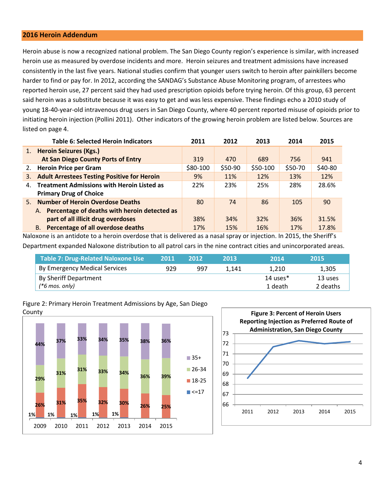#### **2016 Heroin Addendum**

Heroin abuse is now a recognized national problem. The San Diego County region's experience is similar, with increased heroin use as measured by overdose incidents and more. Heroin seizures and treatment admissions have increased consistently in the last five years. National studies confirm that younger users switch to heroin after painkillers become harder to find or pay for. In 2012, according the SANDAG's Substance Abuse Monitoring program, of arrestees who reported heroin use, 27 percent said they had used prescription opioids before trying heroin. Of this group, 63 percent said heroin was a substitute because it was easy to get and was less expensive. These findings echo a 2010 study of young 18-40-year-old intravenous drug users in San Diego County, where 40 percent reported misuse of opioids prior to initiating heroin injection (Pollini 2011). Other indicators of the growing heroin problem are listed below. Sources are listed on page 4.

|    | Table 6: Selected Heroin Indicators                | 2011      | 2012    | 2013      | 2014    | 2015    |
|----|----------------------------------------------------|-----------|---------|-----------|---------|---------|
|    | 1. Heroin Seizures (Kgs.)                          |           |         |           |         |         |
|    | At San Diego County Ports of Entry                 | 319       | 470     | 689       | 756     | 941     |
|    | 2. Heroin Price per Gram                           | $$80-100$ | \$50-90 | $$50-100$ | \$50-70 | \$40-80 |
| 3. | <b>Adult Arrestees Testing Positive for Heroin</b> | 9%        | 11%     | 12%       | 13%     | 12%     |
| 4. | <b>Treatment Admissions with Heroin Listed as</b>  | 22%       | 23%     | 25%       | 28%     | 28.6%   |
|    | <b>Primary Drug of Choice</b>                      |           |         |           |         |         |
|    | 5. Number of Heroin Overdose Deaths                | 80        | 74      | 86        | 105     | 90      |
|    | A. Percentage of deaths with heroin detected as    |           |         |           |         |         |
|    | part of all illicit drug overdoses                 | 38%       | 34%     | 32%       | 36%     | 31.5%   |
|    | <b>B.</b> Percentage of all overdose deaths        | 17%       | 15%     | 16%       | 17%     | 17.8%   |

Naloxone is an antidote to a heroin overdose that is delivered as a nasal spray or injection. In 2015, the Sheriff's Department expanded Naloxone distribution to all patrol cars in the nine contract cities and unincorporated areas.

| <b>Table 7: Drug-Related Naloxone Use</b> | 2011 | 2012 | 2013  | 2014        | 2015     |
|-------------------------------------------|------|------|-------|-------------|----------|
| By Emergency Medical Services             | 929  | 997  | 1.141 | 1.210       | 1,305    |
| By Sheriff Department                     |      |      |       | 14 uses $*$ | 13 uses  |
| $(*6 \text{ mos. only})$                  |      |      |       | 1 death     | 2 deaths |





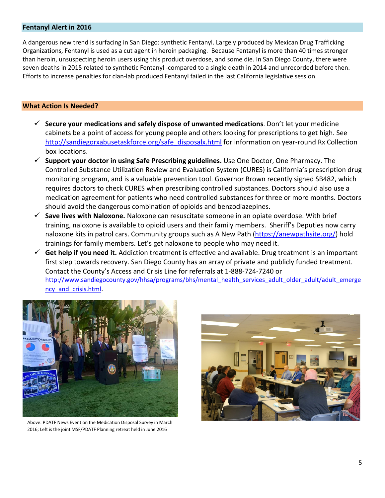#### **Fentanyl Alert in 2016**

A dangerous new trend is surfacing in San Diego: synthetic Fentanyl. Largely produced by Mexican Drug Trafficking Organizations, Fentanyl is used as a cut agent in heroin packaging. Because Fentanyl is more than 40 times stronger than heroin, unsuspecting heroin users using this product overdose, and some die. In San Diego County, there were seven deaths in 2015 related to synthetic Fentanyl -compared to a single death in 2014 and unrecorded before then. Efforts to increase penalties for clan-lab produced Fentanyl failed in the last California legislative session.

#### **What Action Is Needed?**

- **Secure your medications and safely dispose of unwanted medications**. Don't let your medicine cabinets be a point of access for young people and others looking for prescriptions to get high. See [http://sandiegorxabusetaskforce.org/safe\\_disposalx.html](http://sandiegorxabusetaskforce.org/safe_disposalx.html) for information on year-round Rx Collection box locations.
- **Support your doctor in using Safe Prescribing guidelines.** Use One Doctor, One Pharmacy. The Controlled Substance Utilization Review and Evaluation System (CURES) is California's prescription drug monitoring program, and is a valuable prevention tool. Governor Brown recently signed SB482, which requires doctors to check CURES when prescribing controlled substances. Doctors should also use a medication agreement for patients who need controlled substances for three or more months. Doctors should avoid the dangerous combination of opioids and benzodiazepines.
- **Save lives with Naloxone.** Naloxone can resuscitate someone in an opiate overdose. With brief training, naloxone is available to opioid users and their family members. Sheriff's Deputies now carry naloxone kits in patrol cars. Community groups such as A New Path [\(https://anewpathsite.org/\)](https://anewpathsite.org/) hold trainings for family members. Let's get naloxone to people who may need it.
- **Get help if you need it.** Addiction treatment is effective and available. Drug treatment is an important first step towards recovery. San Diego County has an array of private and publicly funded treatment. Contact the County's Access and Crisis Line for referrals at 1-888-724-7240 or [http://www.sandiegocounty.gov/hhsa/programs/bhs/mental\\_health\\_services\\_adult\\_older\\_adult/adult\\_emerge](http://www.sandiegocounty.gov/hhsa/programs/bhs/mental_health_services_adult_older_adult/adult_emergency_and_crisis.html) [ncy\\_and\\_crisis.html.](http://www.sandiegocounty.gov/hhsa/programs/bhs/mental_health_services_adult_older_adult/adult_emergency_and_crisis.html)



Above: PDATF News Event on the Medication Disposal Survey in March 2016; Left is the joint MSF/PDATF Planning retreat held in June 2016